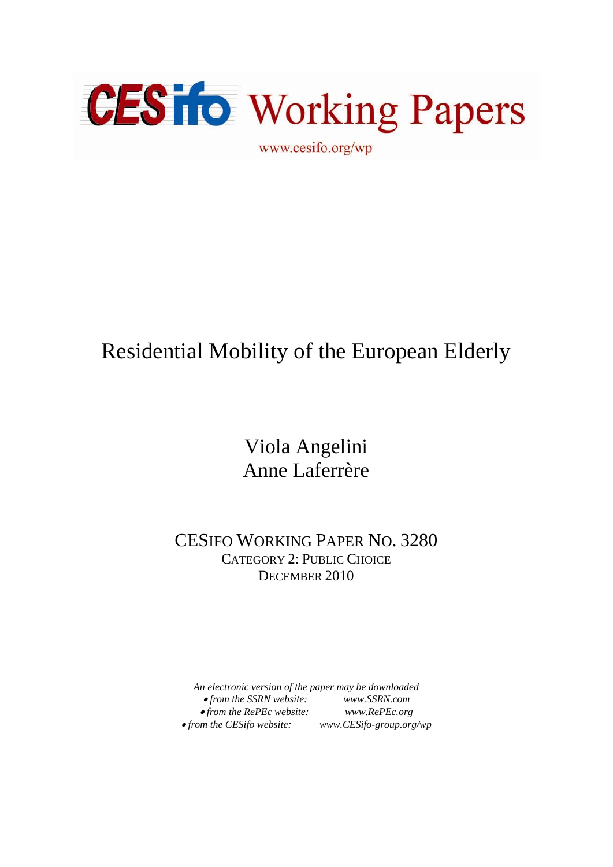

# Residential Mobility of the European Elderly

# Viola Angelini Anne Laferrère

CESIFO WORKING PAPER NO. 3280 CATEGORY 2: PUBLIC CHOICE DECEMBER 2010

*An electronic version of the paper may be downloaded*  • *from the SSRN website: www.SSRN.com*  • *from the RePEc website: www.RePEc.org*  • from the CESifo website: www.CESifo-group.org/wp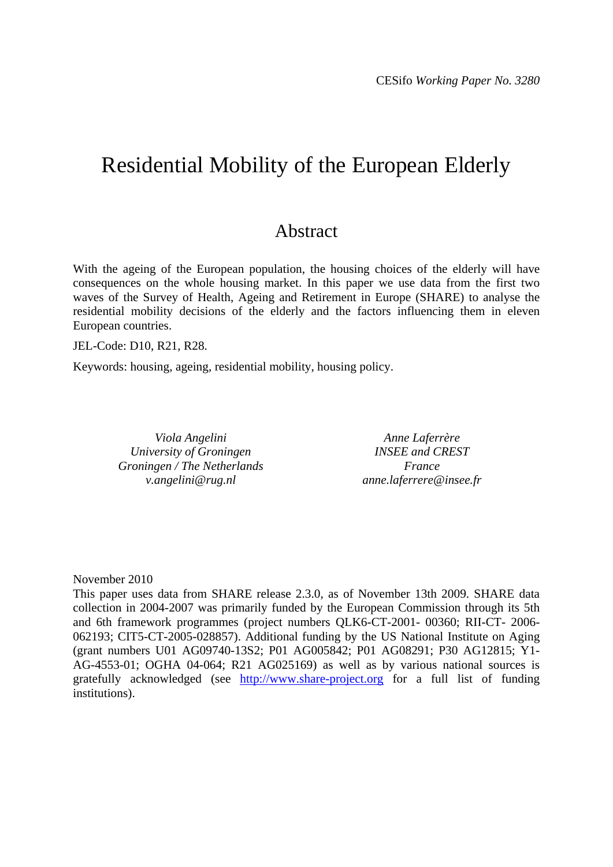# Residential Mobility of the European Elderly

# Abstract

With the ageing of the European population, the housing choices of the elderly will have consequences on the whole housing market. In this paper we use data from the first two waves of the Survey of Health, Ageing and Retirement in Europe (SHARE) to analyse the residential mobility decisions of the elderly and the factors influencing them in eleven European countries.

JEL-Code: D10, R21, R28.

Keywords: housing, ageing, residential mobility, housing policy.

*Viola Angelini University of Groningen Groningen / The Netherlands v.angelini@rug.nl* 

*Anne Laferrère INSEE and CREST France anne.laferrere@insee.fr* 

November 2010

This paper uses data from SHARE release 2.3.0, as of November 13th 2009. SHARE data collection in 2004-2007 was primarily funded by the European Commission through its 5th and 6th framework programmes (project numbers QLK6-CT-2001- 00360; RII-CT- 2006- 062193; CIT5-CT-2005-028857). Additional funding by the US National Institute on Aging (grant numbers U01 AG09740-13S2; P01 AG005842; P01 AG08291; P30 AG12815; Y1- AG-4553-01; OGHA 04-064; R21 AG025169) as well as by various national sources is gratefully acknowledged (see http://www.share-project.org for a full list of funding institutions).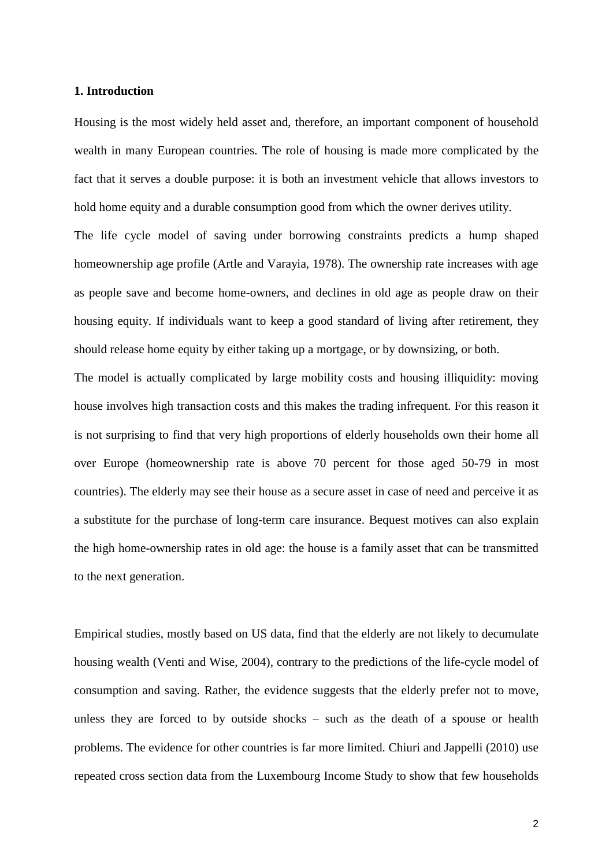### **1. Introduction**

Housing is the most widely held asset and, therefore, an important component of household wealth in many European countries. The role of housing is made more complicated by the fact that it serves a double purpose: it is both an investment vehicle that allows investors to hold home equity and a durable consumption good from which the owner derives utility.

The life cycle model of saving under borrowing constraints predicts a hump shaped homeownership age profile (Artle and Varayia, 1978). The ownership rate increases with age as people save and become home-owners, and declines in old age as people draw on their housing equity. If individuals want to keep a good standard of living after retirement, they should release home equity by either taking up a mortgage, or by downsizing, or both.

The model is actually complicated by large mobility costs and housing illiquidity: moving house involves high transaction costs and this makes the trading infrequent. For this reason it is not surprising to find that very high proportions of elderly households own their home all over Europe (homeownership rate is above 70 percent for those aged 50-79 in most countries). The elderly may see their house as a secure asset in case of need and perceive it as a substitute for the purchase of long-term care insurance. Bequest motives can also explain the high home-ownership rates in old age: the house is a family asset that can be transmitted to the next generation.

Empirical studies, mostly based on US data, find that the elderly are not likely to decumulate housing wealth (Venti and Wise, 2004), contrary to the predictions of the life-cycle model of consumption and saving. Rather, the evidence suggests that the elderly prefer not to move, unless they are forced to by outside shocks – such as the death of a spouse or health problems. The evidence for other countries is far more limited. Chiuri and Jappelli (2010) use repeated cross section data from the Luxembourg Income Study to show that few households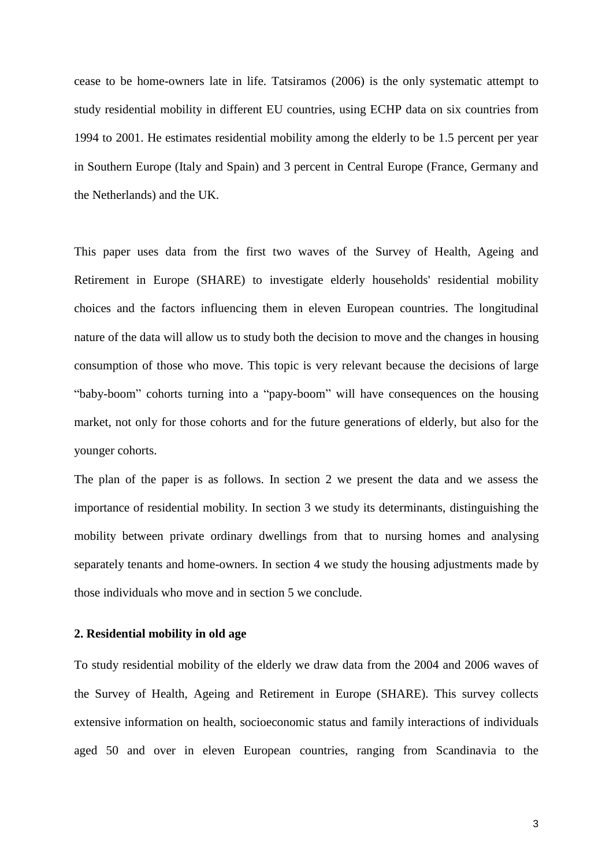cease to be home-owners late in life. Tatsiramos (2006) is the only systematic attempt to study residential mobility in different EU countries, using ECHP data on six countries from 1994 to 2001. He estimates residential mobility among the elderly to be 1.5 percent per year in Southern Europe (Italy and Spain) and 3 percent in Central Europe (France, Germany and the Netherlands) and the UK.

This paper uses data from the first two waves of the Survey of Health, Ageing and Retirement in Europe (SHARE) to investigate elderly households' residential mobility choices and the factors influencing them in eleven European countries. The longitudinal nature of the data will allow us to study both the decision to move and the changes in housing consumption of those who move. This topic is very relevant because the decisions of large "baby-boom" cohorts turning into a "papy-boom" will have consequences on the housing market, not only for those cohorts and for the future generations of elderly, but also for the younger cohorts.

The plan of the paper is as follows. In section 2 we present the data and we assess the importance of residential mobility. In section 3 we study its determinants, distinguishing the mobility between private ordinary dwellings from that to nursing homes and analysing separately tenants and home-owners. In section 4 we study the housing adjustments made by those individuals who move and in section 5 we conclude.

# **2. Residential mobility in old age**

To study residential mobility of the elderly we draw data from the 2004 and 2006 waves of the Survey of Health, Ageing and Retirement in Europe (SHARE). This survey collects extensive information on health, socioeconomic status and family interactions of individuals aged 50 and over in eleven European countries, ranging from Scandinavia to the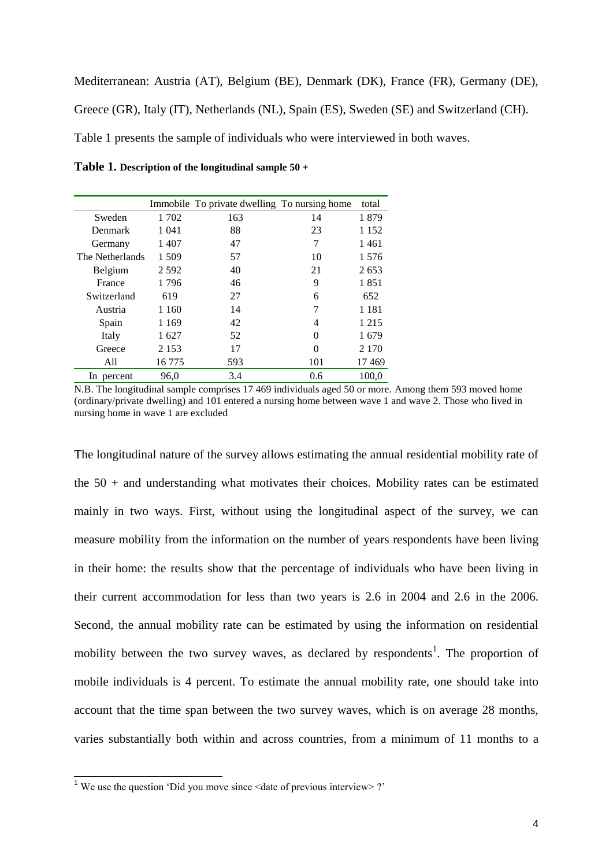Mediterranean: Austria (AT), Belgium (BE), Denmark (DK), France (FR), Germany (DE),

Greece (GR), Italy (IT), Netherlands (NL), Spain (ES), Sweden (SE) and Switzerland (CH).

Table 1 presents the sample of individuals who were interviewed in both waves.

|                 |         | Immobile To private dwelling To nursing home |     | total   |
|-----------------|---------|----------------------------------------------|-----|---------|
| Sweden          | 1 702   | 163                                          | 14  | 1879    |
| Denmark         | 1 041   | 88                                           | 23  | 1 1 5 2 |
| Germany         | 1407    | 47                                           | 7   | 1461    |
| The Netherlands | 1509    | 57                                           | 10  | 1576    |
| Belgium         | 2 5 9 2 | 40                                           | 21  | 2653    |
| France          | 1796    | 46                                           | 9   | 1851    |
| Switzerland     | 619     | 27                                           | 6   | 652     |
| Austria         | 1 1 6 0 | 14                                           | 7   | 1 1 8 1 |
| Spain           | 1 1 6 9 | 42                                           | 4   | 1 2 1 5 |
| Italy           | 1627    | 52                                           | 0   | 1679    |
| Greece          | 2 1 5 3 | 17                                           | 0   | 2 1 7 0 |
| A11             | 16 775  | 593                                          | 101 | 17469   |
| In percent      | 96,0    | 3.4                                          | 0.6 | 100.0   |

**Table 1. Description of the longitudinal sample 50 +**

N.B. The longitudinal sample comprises 17 469 individuals aged 50 or more. Among them 593 moved home (ordinary/private dwelling) and 101 entered a nursing home between wave 1 and wave 2. Those who lived in nursing home in wave 1 are excluded

The longitudinal nature of the survey allows estimating the annual residential mobility rate of the  $50 +$  and understanding what motivates their choices. Mobility rates can be estimated mainly in two ways. First, without using the longitudinal aspect of the survey, we can measure mobility from the information on the number of years respondents have been living in their home: the results show that the percentage of individuals who have been living in their current accommodation for less than two years is 2.6 in 2004 and 2.6 in the 2006. Second, the annual mobility rate can be estimated by using the information on residential mobility between the two survey waves, as declared by respondents<sup>1</sup>. The proportion of mobile individuals is 4 percent. To estimate the annual mobility rate, one should take into account that the time span between the two survey waves, which is on average 28 months, varies substantially both within and across countries, from a minimum of 11 months to a

 $\overline{\phantom{a}}$ 

<sup>&</sup>lt;sup>1</sup> We use the question 'Did you move since  $\leq$  date of previous interview > ?'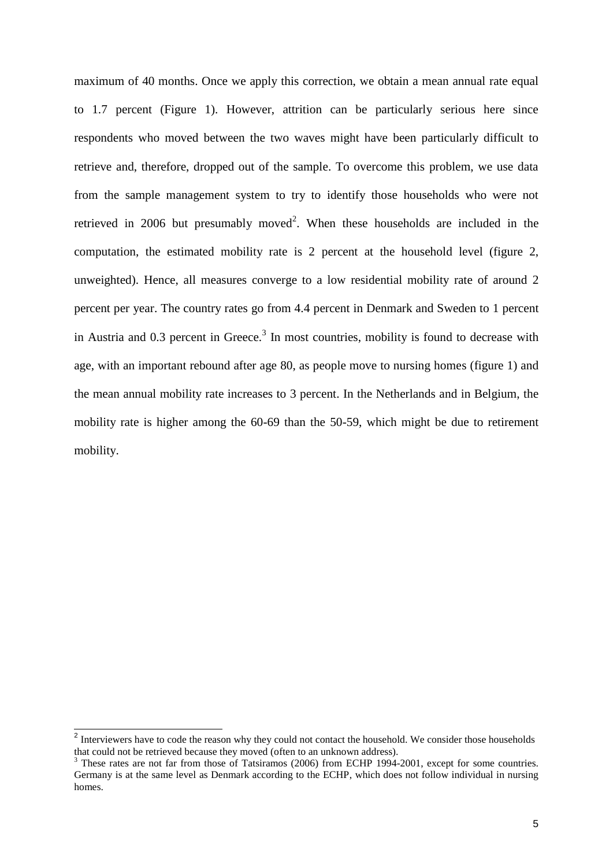maximum of 40 months. Once we apply this correction, we obtain a mean annual rate equal to 1.7 percent (Figure 1). However, attrition can be particularly serious here since respondents who moved between the two waves might have been particularly difficult to retrieve and, therefore, dropped out of the sample. To overcome this problem, we use data from the sample management system to try to identify those households who were not retrieved in 2006 but presumably moved<sup>2</sup>. When these households are included in the computation, the estimated mobility rate is 2 percent at the household level (figure 2, unweighted). Hence, all measures converge to a low residential mobility rate of around 2 percent per year. The country rates go from 4.4 percent in Denmark and Sweden to 1 percent in Austria and  $0.3$  percent in Greece.<sup>3</sup> In most countries, mobility is found to decrease with age, with an important rebound after age 80, as people move to nursing homes (figure 1) and the mean annual mobility rate increases to 3 percent. In the Netherlands and in Belgium, the mobility rate is higher among the 60-69 than the 50-59, which might be due to retirement mobility.

<sup>&</sup>lt;sup>2</sup> Interviewers have to code the reason why they could not contact the household. We consider those households that could not be retrieved because they moved (often to an unknown address).

<sup>&</sup>lt;sup>3</sup> These rates are not far from those of Tatsiramos (2006) from ECHP 1994-2001, except for some countries. Germany is at the same level as Denmark according to the ECHP, which does not follow individual in nursing homes.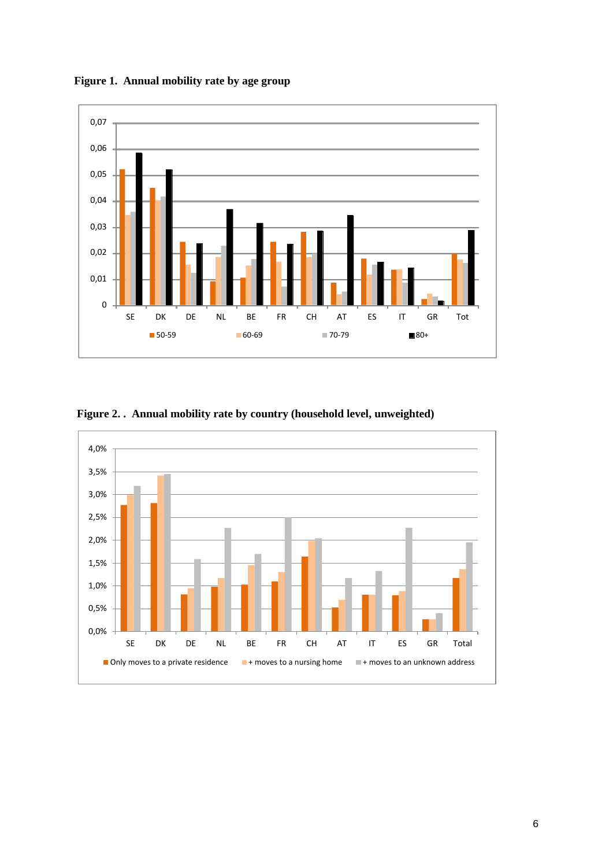**Figure 1. Annual mobility rate by age group**





**Figure 2. . Annual mobility rate by country (household level, unweighted)**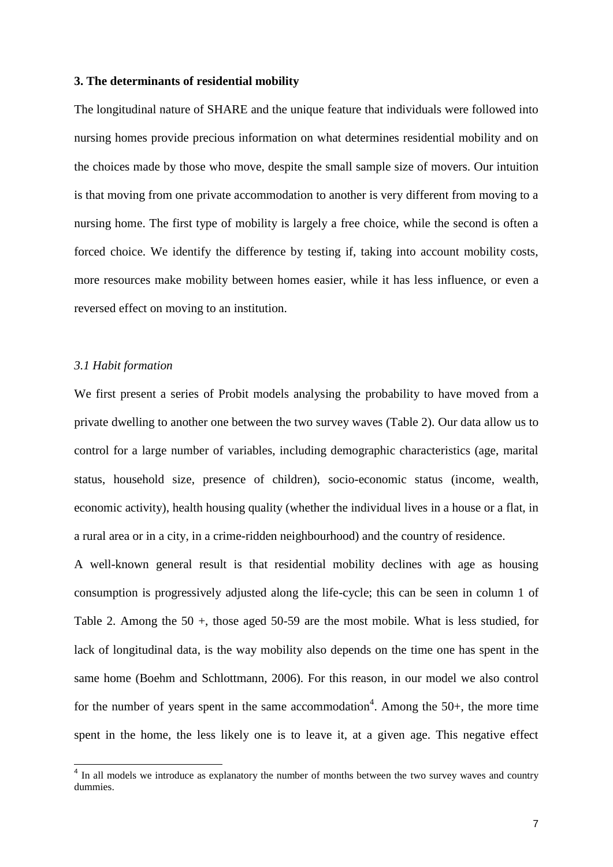## **3. The determinants of residential mobility**

The longitudinal nature of SHARE and the unique feature that individuals were followed into nursing homes provide precious information on what determines residential mobility and on the choices made by those who move, despite the small sample size of movers. Our intuition is that moving from one private accommodation to another is very different from moving to a nursing home. The first type of mobility is largely a free choice, while the second is often a forced choice. We identify the difference by testing if, taking into account mobility costs, more resources make mobility between homes easier, while it has less influence, or even a reversed effect on moving to an institution.

# *3.1 Habit formation*

We first present a series of Probit models analysing the probability to have moved from a private dwelling to another one between the two survey waves (Table 2). Our data allow us to control for a large number of variables, including demographic characteristics (age, marital status, household size, presence of children), socio-economic status (income, wealth, economic activity), health housing quality (whether the individual lives in a house or a flat, in a rural area or in a city, in a crime-ridden neighbourhood) and the country of residence.

A well-known general result is that residential mobility declines with age as housing consumption is progressively adjusted along the life-cycle; this can be seen in column 1 of Table 2. Among the 50 +, those aged 50-59 are the most mobile. What is less studied, for lack of longitudinal data, is the way mobility also depends on the time one has spent in the same home (Boehm and Schlottmann, 2006). For this reason, in our model we also control for the number of years spent in the same accommodation<sup>4</sup>. Among the 50+, the more time spent in the home, the less likely one is to leave it, at a given age. This negative effect

<sup>&</sup>lt;sup>4</sup> In all models we introduce as explanatory the number of months between the two survey waves and country dummies.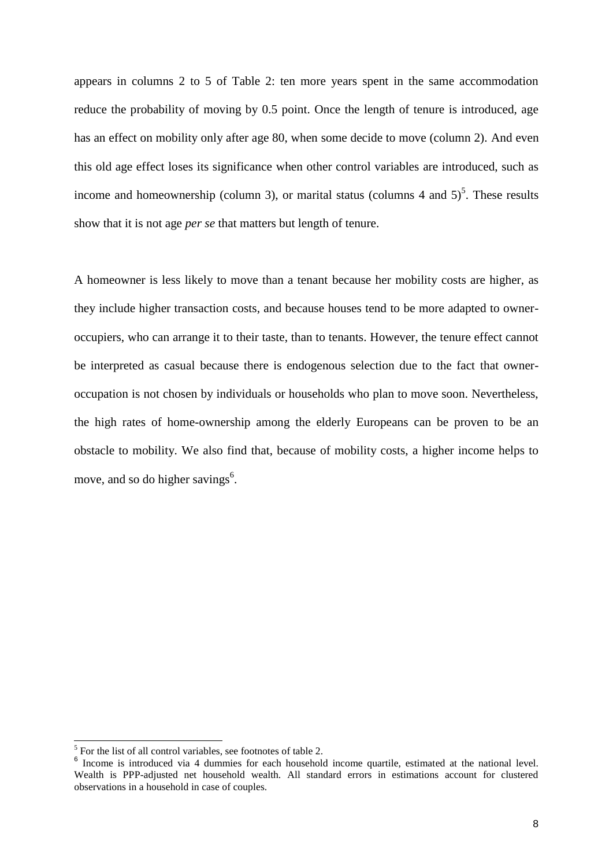appears in columns 2 to 5 of Table 2: ten more years spent in the same accommodation reduce the probability of moving by 0.5 point. Once the length of tenure is introduced, age has an effect on mobility only after age 80, when some decide to move (column 2). And even this old age effect loses its significance when other control variables are introduced, such as income and homeownership (column 3), or marital status (columns 4 and  $5$ )<sup>5</sup>. These results show that it is not age *per se* that matters but length of tenure.

A homeowner is less likely to move than a tenant because her mobility costs are higher, as they include higher transaction costs, and because houses tend to be more adapted to owneroccupiers, who can arrange it to their taste, than to tenants. However, the tenure effect cannot be interpreted as casual because there is endogenous selection due to the fact that owneroccupation is not chosen by individuals or households who plan to move soon. Nevertheless, the high rates of home-ownership among the elderly Europeans can be proven to be an obstacle to mobility. We also find that, because of mobility costs, a higher income helps to move, and so do higher savings<sup>6</sup>.

1

<sup>&</sup>lt;sup>5</sup> For the list of all control variables, see footnotes of table 2.

<sup>&</sup>lt;sup>6</sup> Income is introduced via 4 dummies for each household income quartile, estimated at the national level. Wealth is PPP-adjusted net household wealth. All standard errors in estimations account for clustered observations in a household in case of couples.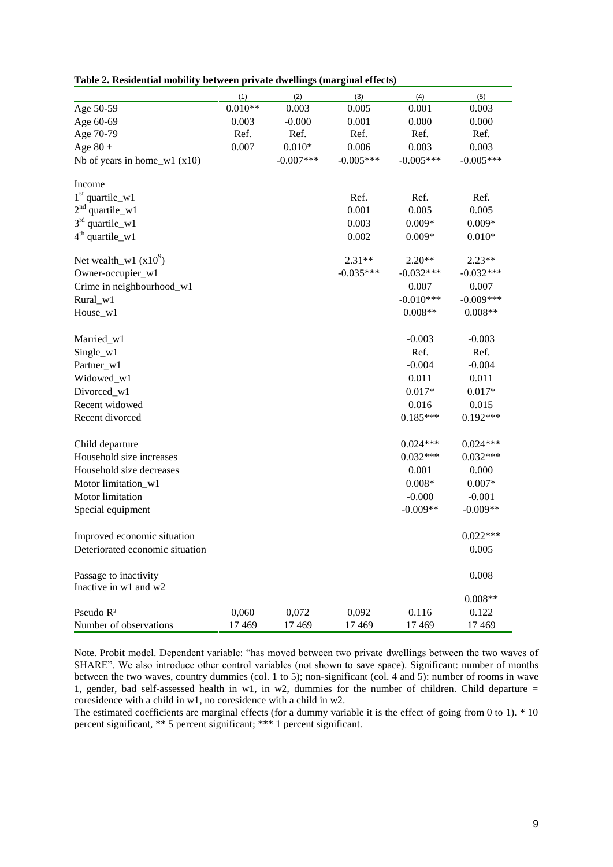|                                                | (1)       | (2)         | (3)         | (4)         | (5)         |
|------------------------------------------------|-----------|-------------|-------------|-------------|-------------|
| Age 50-59                                      | $0.010**$ | 0.003       | 0.005       | 0.001       | 0.003       |
| Age 60-69                                      | 0.003     | $-0.000$    | 0.001       | 0.000       | 0.000       |
| Age 70-79                                      | Ref.      | Ref.        | Ref.        | Ref.        | Ref.        |
| Age $80 +$                                     | 0.007     | $0.010*$    | 0.006       | 0.003       | 0.003       |
| Nb of years in home_w1 $(x10)$                 |           | $-0.007***$ | $-0.005***$ | $-0.005***$ | $-0.005***$ |
| Income                                         |           |             |             |             |             |
| $1st$ quartile_w1                              |           |             | Ref.        | Ref.        | Ref.        |
| $2nd$ quartile_w1                              |           |             | 0.001       | 0.005       | 0.005       |
| $3rd$ quartile_w1                              |           |             | 0.003       | $0.009*$    | $0.009*$    |
| $4th$ quartile_w1                              |           |             | 0.002       | $0.009*$    | $0.010*$    |
| Net wealth_w1 $(x10^9)$                        |           |             | $2.31**$    | $2.20**$    | $2.23**$    |
| Owner-occupier_w1                              |           |             | $-0.035***$ | $-0.032***$ | $-0.032***$ |
| Crime in neighbourhood_w1                      |           |             |             | 0.007       | 0.007       |
| Rural_w1                                       |           |             |             | $-0.010***$ | $-0.009***$ |
| House_w1                                       |           |             |             | $0.008**$   | $0.008**$   |
| Married_w1                                     |           |             |             | $-0.003$    | $-0.003$    |
| $Single_w1$                                    |           |             |             | Ref.        | Ref.        |
| Partner_w1                                     |           |             |             | $-0.004$    | $-0.004$    |
| Widowed_w1                                     |           |             |             | 0.011       | 0.011       |
| Divorced_w1                                    |           |             |             | $0.017*$    | $0.017*$    |
| Recent widowed                                 |           |             |             | 0.016       | 0.015       |
| Recent divorced                                |           |             |             | $0.185***$  | $0.192***$  |
| Child departure                                |           |             |             | $0.024***$  | $0.024***$  |
| Household size increases                       |           |             |             | $0.032***$  | $0.032***$  |
| Household size decreases                       |           |             |             | 0.001       | 0.000       |
| Motor limitation_w1                            |           |             |             | $0.008*$    | $0.007*$    |
| Motor limitation                               |           |             |             | $-0.000$    | $-0.001$    |
| Special equipment                              |           |             |             | $-0.009**$  | $-0.009**$  |
| Improved economic situation                    |           |             |             |             | $0.022***$  |
| Deteriorated economic situation                |           |             |             |             | 0.005       |
| Passage to inactivity<br>Inactive in w1 and w2 |           |             |             |             | 0.008       |
|                                                |           |             |             |             | $0.008**$   |
| Pseudo R <sup>2</sup>                          | 0,060     | 0,072       | 0,092       | 0.116       | 0.122       |
| Number of observations                         | 17 4 69   | 17 4 69     | 17 4 69     | 17 4 69     | 17 469      |

| Table 2. Residential mobility between private dwellings (marginal effects) |  |  |  |  |  |
|----------------------------------------------------------------------------|--|--|--|--|--|
|----------------------------------------------------------------------------|--|--|--|--|--|

Note. Probit model. Dependent variable: "has moved between two private dwellings between the two waves of SHARE". We also introduce other control variables (not shown to save space). Significant: number of months between the two waves, country dummies (col. 1 to 5); non-significant (col. 4 and 5): number of rooms in wave 1, gender, bad self-assessed health in w1, in w2, dummies for the number of children. Child departure = coresidence with a child in w1, no coresidence with a child in w2.

The estimated coefficients are marginal effects (for a dummy variable it is the effect of going from 0 to 1). \* 10 percent significant, \*\* 5 percent significant; \*\*\* 1 percent significant.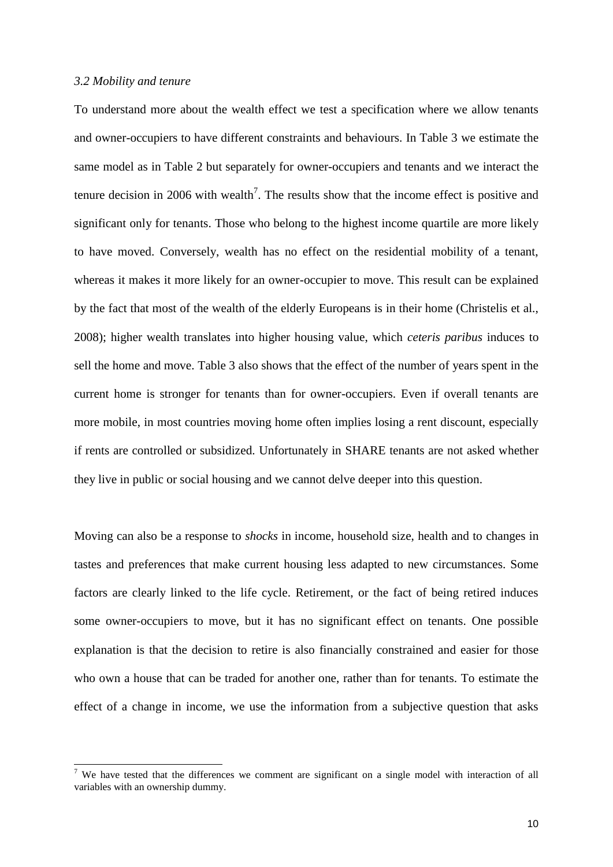#### *3.2 Mobility and tenure*

-

To understand more about the wealth effect we test a specification where we allow tenants and owner-occupiers to have different constraints and behaviours. In Table 3 we estimate the same model as in Table 2 but separately for owner-occupiers and tenants and we interact the tenure decision in 2006 with wealth<sup>7</sup>. The results show that the income effect is positive and significant only for tenants. Those who belong to the highest income quartile are more likely to have moved. Conversely, wealth has no effect on the residential mobility of a tenant, whereas it makes it more likely for an owner-occupier to move. This result can be explained by the fact that most of the wealth of the elderly Europeans is in their home (Christelis et al., 2008); higher wealth translates into higher housing value, which *ceteris paribus* induces to sell the home and move. Table 3 also shows that the effect of the number of years spent in the current home is stronger for tenants than for owner-occupiers. Even if overall tenants are more mobile, in most countries moving home often implies losing a rent discount, especially if rents are controlled or subsidized. Unfortunately in SHARE tenants are not asked whether they live in public or social housing and we cannot delve deeper into this question.

Moving can also be a response to *shocks* in income, household size, health and to changes in tastes and preferences that make current housing less adapted to new circumstances. Some factors are clearly linked to the life cycle. Retirement, or the fact of being retired induces some owner-occupiers to move, but it has no significant effect on tenants. One possible explanation is that the decision to retire is also financially constrained and easier for those who own a house that can be traded for another one, rather than for tenants. To estimate the effect of a change in income, we use the information from a subjective question that asks

<sup>&</sup>lt;sup>7</sup> We have tested that the differences we comment are significant on a single model with interaction of all variables with an ownership dummy.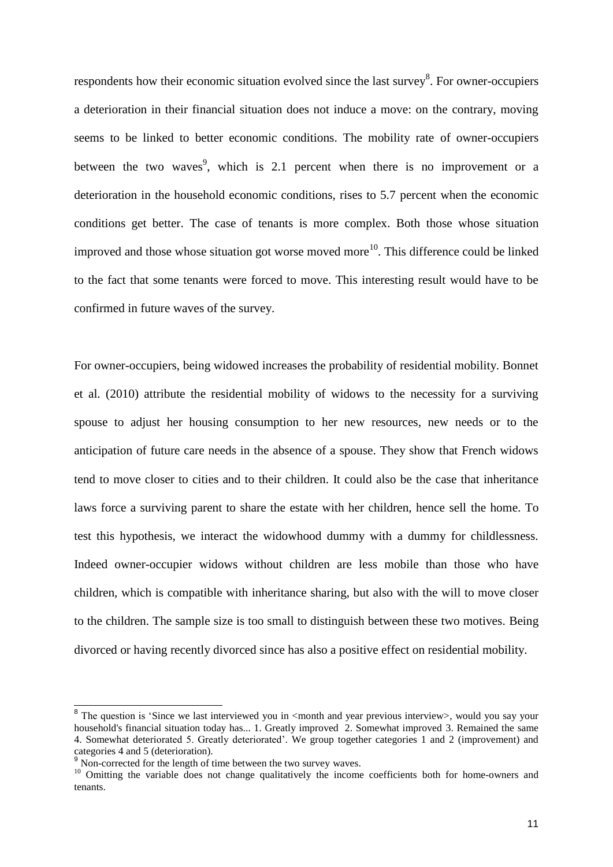respondents how their economic situation evolved since the last survey<sup>8</sup>. For owner-occupiers a deterioration in their financial situation does not induce a move: on the contrary, moving seems to be linked to better economic conditions. The mobility rate of owner-occupiers between the two waves<sup>9</sup>, which is 2.1 percent when there is no improvement or a deterioration in the household economic conditions, rises to 5.7 percent when the economic conditions get better. The case of tenants is more complex. Both those whose situation improved and those whose situation got worse moved more<sup>10</sup>. This difference could be linked to the fact that some tenants were forced to move. This interesting result would have to be confirmed in future waves of the survey.

For owner-occupiers, being widowed increases the probability of residential mobility. Bonnet et al. (2010) attribute the residential mobility of widows to the necessity for a surviving spouse to adjust her housing consumption to her new resources, new needs or to the anticipation of future care needs in the absence of a spouse. They show that French widows tend to move closer to cities and to their children. It could also be the case that inheritance laws force a surviving parent to share the estate with her children, hence sell the home. To test this hypothesis, we interact the widowhood dummy with a dummy for childlessness. Indeed owner-occupier widows without children are less mobile than those who have children, which is compatible with inheritance sharing, but also with the will to move closer to the children. The sample size is too small to distinguish between these two motives. Being divorced or having recently divorced since has also a positive effect on residential mobility.

<sup>&</sup>lt;sup>8</sup> The question is 'Since we last interviewed you in <month and year previous interview>, would you say your household's financial situation today has... 1. Greatly improved 2. Somewhat improved 3. Remained the same 4. Somewhat deteriorated 5. Greatly deteriorated'. We group together categories 1 and 2 (improvement) and categories 4 and 5 (deterioration).

Non-corrected for the length of time between the two survey waves.

<sup>&</sup>lt;sup>10</sup> Omitting the variable does not change qualitatively the income coefficients both for home-owners and <sup>10</sup> tenants.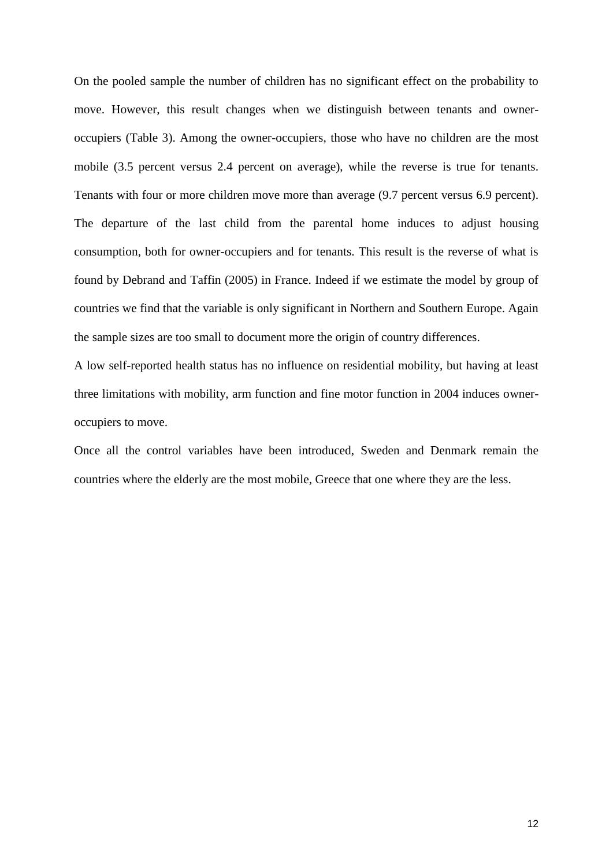On the pooled sample the number of children has no significant effect on the probability to move. However, this result changes when we distinguish between tenants and owneroccupiers (Table 3). Among the owner-occupiers, those who have no children are the most mobile (3.5 percent versus 2.4 percent on average), while the reverse is true for tenants. Tenants with four or more children move more than average (9.7 percent versus 6.9 percent). The departure of the last child from the parental home induces to adjust housing consumption, both for owner-occupiers and for tenants. This result is the reverse of what is found by Debrand and Taffin (2005) in France. Indeed if we estimate the model by group of countries we find that the variable is only significant in Northern and Southern Europe. Again the sample sizes are too small to document more the origin of country differences.

A low self-reported health status has no influence on residential mobility, but having at least three limitations with mobility, arm function and fine motor function in 2004 induces owneroccupiers to move.

Once all the control variables have been introduced, Sweden and Denmark remain the countries where the elderly are the most mobile, Greece that one where they are the less.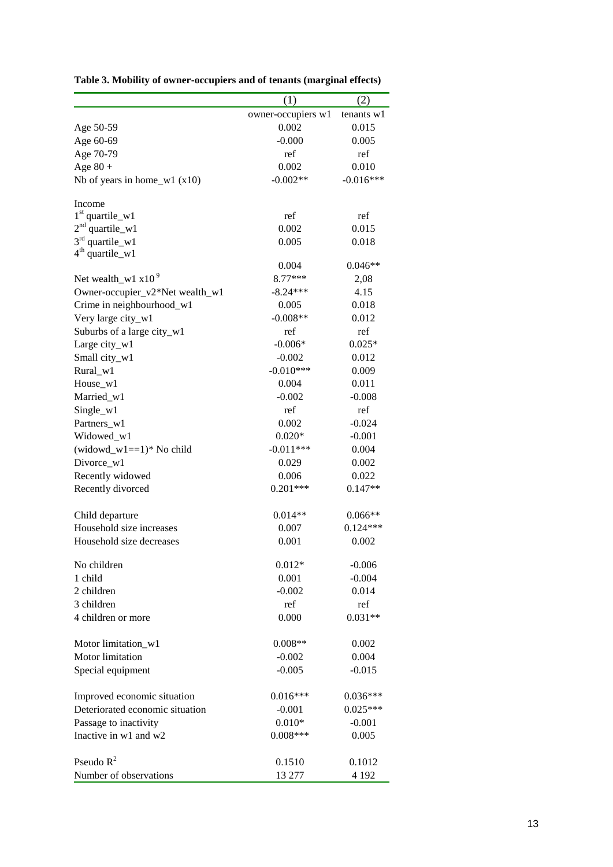| owner-occupiers w1<br>tenants $w1$<br>0.002<br>0.015<br>Age 50-59<br>Age 60-69<br>$-0.000$<br>0.005<br>Age 70-79<br>ref<br>ref<br>0.002<br>0.010<br>Age $80 +$<br>Nb of years in home_w1 $(x10)$<br>$-0.002**$<br>$-0.016***$<br>$1st$ quartile_w1<br>ref<br>ref<br>2 <sup>nd</sup><br>quartile_w1<br>0.002<br>0.015<br>$3rd$ quartile_w1<br>0.005<br>0.018<br>$4th$ quartile_w1<br>0.004<br>$0.046**$<br>Net wealth_w1 $x109$<br>$8.77***$<br>2,08<br>Owner-occupier_v2*Net wealth_w1<br>$-8.24***$<br>4.15<br>Crime in neighbourhood_w1<br>0.005<br>0.018<br>Very large city_w1<br>$-0.008**$<br>0.012<br>Suburbs of a large city_w1<br>ref<br>ref<br>Large city_w1<br>$-0.006*$<br>$0.025*$<br>Small city_w1<br>$-0.002$<br>0.012<br>$-0.010***$<br>0.009<br>0.004<br>0.011<br>$-0.002$<br>$-0.008$<br>ref<br>ref<br>0.002<br>$-0.024$<br>$-0.001$<br>$0.020*$<br>0.004<br>$-0.011***$<br>0.002<br>0.029<br>0.006<br>0.022<br>$0.201***$<br>$0.147**$<br>Child departure<br>$0.014**$<br>$0.066**$<br>Household size increases<br>0.007<br>$0.124***$<br>Household size decreases<br>0.001<br>0.002<br>$0.012*$<br>$-0.006$<br>0.001<br>$-0.004$<br>$-0.002$<br>0.014<br>ref<br>ref<br>0.000<br>$0.031**$<br>Motor limitation_w1<br>$0.008**$<br>0.002<br>Motor limitation<br>$-0.002$<br>0.004<br>Special equipment<br>$-0.005$<br>$-0.015$<br>$0.016***$<br>Improved economic situation<br>$0.036***$<br>Deteriorated economic situation<br>$-0.001$<br>$0.025***$<br>Passage to inactivity<br>$0.010*$<br>$-0.001$<br>Inactive in w1 and w2<br>$0.008***$<br>0.005<br>0.1510<br>0.1012 |                          | (1)    | (2)     |
|----------------------------------------------------------------------------------------------------------------------------------------------------------------------------------------------------------------------------------------------------------------------------------------------------------------------------------------------------------------------------------------------------------------------------------------------------------------------------------------------------------------------------------------------------------------------------------------------------------------------------------------------------------------------------------------------------------------------------------------------------------------------------------------------------------------------------------------------------------------------------------------------------------------------------------------------------------------------------------------------------------------------------------------------------------------------------------------------------------------------------------------------------------------------------------------------------------------------------------------------------------------------------------------------------------------------------------------------------------------------------------------------------------------------------------------------------------------------------------------------------------------------------------------------------------------------------------------------|--------------------------|--------|---------|
|                                                                                                                                                                                                                                                                                                                                                                                                                                                                                                                                                                                                                                                                                                                                                                                                                                                                                                                                                                                                                                                                                                                                                                                                                                                                                                                                                                                                                                                                                                                                                                                              |                          |        |         |
|                                                                                                                                                                                                                                                                                                                                                                                                                                                                                                                                                                                                                                                                                                                                                                                                                                                                                                                                                                                                                                                                                                                                                                                                                                                                                                                                                                                                                                                                                                                                                                                              |                          |        |         |
|                                                                                                                                                                                                                                                                                                                                                                                                                                                                                                                                                                                                                                                                                                                                                                                                                                                                                                                                                                                                                                                                                                                                                                                                                                                                                                                                                                                                                                                                                                                                                                                              |                          |        |         |
|                                                                                                                                                                                                                                                                                                                                                                                                                                                                                                                                                                                                                                                                                                                                                                                                                                                                                                                                                                                                                                                                                                                                                                                                                                                                                                                                                                                                                                                                                                                                                                                              |                          |        |         |
|                                                                                                                                                                                                                                                                                                                                                                                                                                                                                                                                                                                                                                                                                                                                                                                                                                                                                                                                                                                                                                                                                                                                                                                                                                                                                                                                                                                                                                                                                                                                                                                              |                          |        |         |
|                                                                                                                                                                                                                                                                                                                                                                                                                                                                                                                                                                                                                                                                                                                                                                                                                                                                                                                                                                                                                                                                                                                                                                                                                                                                                                                                                                                                                                                                                                                                                                                              |                          |        |         |
|                                                                                                                                                                                                                                                                                                                                                                                                                                                                                                                                                                                                                                                                                                                                                                                                                                                                                                                                                                                                                                                                                                                                                                                                                                                                                                                                                                                                                                                                                                                                                                                              |                          |        |         |
|                                                                                                                                                                                                                                                                                                                                                                                                                                                                                                                                                                                                                                                                                                                                                                                                                                                                                                                                                                                                                                                                                                                                                                                                                                                                                                                                                                                                                                                                                                                                                                                              | Income                   |        |         |
|                                                                                                                                                                                                                                                                                                                                                                                                                                                                                                                                                                                                                                                                                                                                                                                                                                                                                                                                                                                                                                                                                                                                                                                                                                                                                                                                                                                                                                                                                                                                                                                              |                          |        |         |
|                                                                                                                                                                                                                                                                                                                                                                                                                                                                                                                                                                                                                                                                                                                                                                                                                                                                                                                                                                                                                                                                                                                                                                                                                                                                                                                                                                                                                                                                                                                                                                                              |                          |        |         |
|                                                                                                                                                                                                                                                                                                                                                                                                                                                                                                                                                                                                                                                                                                                                                                                                                                                                                                                                                                                                                                                                                                                                                                                                                                                                                                                                                                                                                                                                                                                                                                                              |                          |        |         |
|                                                                                                                                                                                                                                                                                                                                                                                                                                                                                                                                                                                                                                                                                                                                                                                                                                                                                                                                                                                                                                                                                                                                                                                                                                                                                                                                                                                                                                                                                                                                                                                              |                          |        |         |
|                                                                                                                                                                                                                                                                                                                                                                                                                                                                                                                                                                                                                                                                                                                                                                                                                                                                                                                                                                                                                                                                                                                                                                                                                                                                                                                                                                                                                                                                                                                                                                                              |                          |        |         |
|                                                                                                                                                                                                                                                                                                                                                                                                                                                                                                                                                                                                                                                                                                                                                                                                                                                                                                                                                                                                                                                                                                                                                                                                                                                                                                                                                                                                                                                                                                                                                                                              |                          |        |         |
|                                                                                                                                                                                                                                                                                                                                                                                                                                                                                                                                                                                                                                                                                                                                                                                                                                                                                                                                                                                                                                                                                                                                                                                                                                                                                                                                                                                                                                                                                                                                                                                              |                          |        |         |
|                                                                                                                                                                                                                                                                                                                                                                                                                                                                                                                                                                                                                                                                                                                                                                                                                                                                                                                                                                                                                                                                                                                                                                                                                                                                                                                                                                                                                                                                                                                                                                                              |                          |        |         |
|                                                                                                                                                                                                                                                                                                                                                                                                                                                                                                                                                                                                                                                                                                                                                                                                                                                                                                                                                                                                                                                                                                                                                                                                                                                                                                                                                                                                                                                                                                                                                                                              |                          |        |         |
|                                                                                                                                                                                                                                                                                                                                                                                                                                                                                                                                                                                                                                                                                                                                                                                                                                                                                                                                                                                                                                                                                                                                                                                                                                                                                                                                                                                                                                                                                                                                                                                              |                          |        |         |
|                                                                                                                                                                                                                                                                                                                                                                                                                                                                                                                                                                                                                                                                                                                                                                                                                                                                                                                                                                                                                                                                                                                                                                                                                                                                                                                                                                                                                                                                                                                                                                                              |                          |        |         |
|                                                                                                                                                                                                                                                                                                                                                                                                                                                                                                                                                                                                                                                                                                                                                                                                                                                                                                                                                                                                                                                                                                                                                                                                                                                                                                                                                                                                                                                                                                                                                                                              |                          |        |         |
|                                                                                                                                                                                                                                                                                                                                                                                                                                                                                                                                                                                                                                                                                                                                                                                                                                                                                                                                                                                                                                                                                                                                                                                                                                                                                                                                                                                                                                                                                                                                                                                              | Rural_w1                 |        |         |
|                                                                                                                                                                                                                                                                                                                                                                                                                                                                                                                                                                                                                                                                                                                                                                                                                                                                                                                                                                                                                                                                                                                                                                                                                                                                                                                                                                                                                                                                                                                                                                                              | House_w1                 |        |         |
|                                                                                                                                                                                                                                                                                                                                                                                                                                                                                                                                                                                                                                                                                                                                                                                                                                                                                                                                                                                                                                                                                                                                                                                                                                                                                                                                                                                                                                                                                                                                                                                              | Married_w1               |        |         |
|                                                                                                                                                                                                                                                                                                                                                                                                                                                                                                                                                                                                                                                                                                                                                                                                                                                                                                                                                                                                                                                                                                                                                                                                                                                                                                                                                                                                                                                                                                                                                                                              | $Single_w1$              |        |         |
|                                                                                                                                                                                                                                                                                                                                                                                                                                                                                                                                                                                                                                                                                                                                                                                                                                                                                                                                                                                                                                                                                                                                                                                                                                                                                                                                                                                                                                                                                                                                                                                              | Partners_w1              |        |         |
|                                                                                                                                                                                                                                                                                                                                                                                                                                                                                                                                                                                                                                                                                                                                                                                                                                                                                                                                                                                                                                                                                                                                                                                                                                                                                                                                                                                                                                                                                                                                                                                              | Widowed_w1               |        |         |
|                                                                                                                                                                                                                                                                                                                                                                                                                                                                                                                                                                                                                                                                                                                                                                                                                                                                                                                                                                                                                                                                                                                                                                                                                                                                                                                                                                                                                                                                                                                                                                                              | (widowd_w1==1)* No child |        |         |
|                                                                                                                                                                                                                                                                                                                                                                                                                                                                                                                                                                                                                                                                                                                                                                                                                                                                                                                                                                                                                                                                                                                                                                                                                                                                                                                                                                                                                                                                                                                                                                                              | Divorce_w1               |        |         |
|                                                                                                                                                                                                                                                                                                                                                                                                                                                                                                                                                                                                                                                                                                                                                                                                                                                                                                                                                                                                                                                                                                                                                                                                                                                                                                                                                                                                                                                                                                                                                                                              | Recently widowed         |        |         |
|                                                                                                                                                                                                                                                                                                                                                                                                                                                                                                                                                                                                                                                                                                                                                                                                                                                                                                                                                                                                                                                                                                                                                                                                                                                                                                                                                                                                                                                                                                                                                                                              | Recently divorced        |        |         |
|                                                                                                                                                                                                                                                                                                                                                                                                                                                                                                                                                                                                                                                                                                                                                                                                                                                                                                                                                                                                                                                                                                                                                                                                                                                                                                                                                                                                                                                                                                                                                                                              |                          |        |         |
|                                                                                                                                                                                                                                                                                                                                                                                                                                                                                                                                                                                                                                                                                                                                                                                                                                                                                                                                                                                                                                                                                                                                                                                                                                                                                                                                                                                                                                                                                                                                                                                              |                          |        |         |
|                                                                                                                                                                                                                                                                                                                                                                                                                                                                                                                                                                                                                                                                                                                                                                                                                                                                                                                                                                                                                                                                                                                                                                                                                                                                                                                                                                                                                                                                                                                                                                                              |                          |        |         |
|                                                                                                                                                                                                                                                                                                                                                                                                                                                                                                                                                                                                                                                                                                                                                                                                                                                                                                                                                                                                                                                                                                                                                                                                                                                                                                                                                                                                                                                                                                                                                                                              |                          |        |         |
|                                                                                                                                                                                                                                                                                                                                                                                                                                                                                                                                                                                                                                                                                                                                                                                                                                                                                                                                                                                                                                                                                                                                                                                                                                                                                                                                                                                                                                                                                                                                                                                              | No children              |        |         |
|                                                                                                                                                                                                                                                                                                                                                                                                                                                                                                                                                                                                                                                                                                                                                                                                                                                                                                                                                                                                                                                                                                                                                                                                                                                                                                                                                                                                                                                                                                                                                                                              | 1 child                  |        |         |
|                                                                                                                                                                                                                                                                                                                                                                                                                                                                                                                                                                                                                                                                                                                                                                                                                                                                                                                                                                                                                                                                                                                                                                                                                                                                                                                                                                                                                                                                                                                                                                                              | 2 children               |        |         |
|                                                                                                                                                                                                                                                                                                                                                                                                                                                                                                                                                                                                                                                                                                                                                                                                                                                                                                                                                                                                                                                                                                                                                                                                                                                                                                                                                                                                                                                                                                                                                                                              | 3 children               |        |         |
|                                                                                                                                                                                                                                                                                                                                                                                                                                                                                                                                                                                                                                                                                                                                                                                                                                                                                                                                                                                                                                                                                                                                                                                                                                                                                                                                                                                                                                                                                                                                                                                              | 4 children or more       |        |         |
|                                                                                                                                                                                                                                                                                                                                                                                                                                                                                                                                                                                                                                                                                                                                                                                                                                                                                                                                                                                                                                                                                                                                                                                                                                                                                                                                                                                                                                                                                                                                                                                              |                          |        |         |
|                                                                                                                                                                                                                                                                                                                                                                                                                                                                                                                                                                                                                                                                                                                                                                                                                                                                                                                                                                                                                                                                                                                                                                                                                                                                                                                                                                                                                                                                                                                                                                                              |                          |        |         |
|                                                                                                                                                                                                                                                                                                                                                                                                                                                                                                                                                                                                                                                                                                                                                                                                                                                                                                                                                                                                                                                                                                                                                                                                                                                                                                                                                                                                                                                                                                                                                                                              |                          |        |         |
|                                                                                                                                                                                                                                                                                                                                                                                                                                                                                                                                                                                                                                                                                                                                                                                                                                                                                                                                                                                                                                                                                                                                                                                                                                                                                                                                                                                                                                                                                                                                                                                              |                          |        |         |
|                                                                                                                                                                                                                                                                                                                                                                                                                                                                                                                                                                                                                                                                                                                                                                                                                                                                                                                                                                                                                                                                                                                                                                                                                                                                                                                                                                                                                                                                                                                                                                                              |                          |        |         |
|                                                                                                                                                                                                                                                                                                                                                                                                                                                                                                                                                                                                                                                                                                                                                                                                                                                                                                                                                                                                                                                                                                                                                                                                                                                                                                                                                                                                                                                                                                                                                                                              |                          |        |         |
|                                                                                                                                                                                                                                                                                                                                                                                                                                                                                                                                                                                                                                                                                                                                                                                                                                                                                                                                                                                                                                                                                                                                                                                                                                                                                                                                                                                                                                                                                                                                                                                              |                          |        |         |
|                                                                                                                                                                                                                                                                                                                                                                                                                                                                                                                                                                                                                                                                                                                                                                                                                                                                                                                                                                                                                                                                                                                                                                                                                                                                                                                                                                                                                                                                                                                                                                                              |                          |        |         |
|                                                                                                                                                                                                                                                                                                                                                                                                                                                                                                                                                                                                                                                                                                                                                                                                                                                                                                                                                                                                                                                                                                                                                                                                                                                                                                                                                                                                                                                                                                                                                                                              |                          |        |         |
|                                                                                                                                                                                                                                                                                                                                                                                                                                                                                                                                                                                                                                                                                                                                                                                                                                                                                                                                                                                                                                                                                                                                                                                                                                                                                                                                                                                                                                                                                                                                                                                              | Pseudo $R^2$             |        |         |
|                                                                                                                                                                                                                                                                                                                                                                                                                                                                                                                                                                                                                                                                                                                                                                                                                                                                                                                                                                                                                                                                                                                                                                                                                                                                                                                                                                                                                                                                                                                                                                                              | Number of observations   | 13 277 | 4 1 9 2 |

| Table 3. Mobility of owner-occupiers and of tenants (marginal effects) |  |  |  |  |  |  |
|------------------------------------------------------------------------|--|--|--|--|--|--|
|------------------------------------------------------------------------|--|--|--|--|--|--|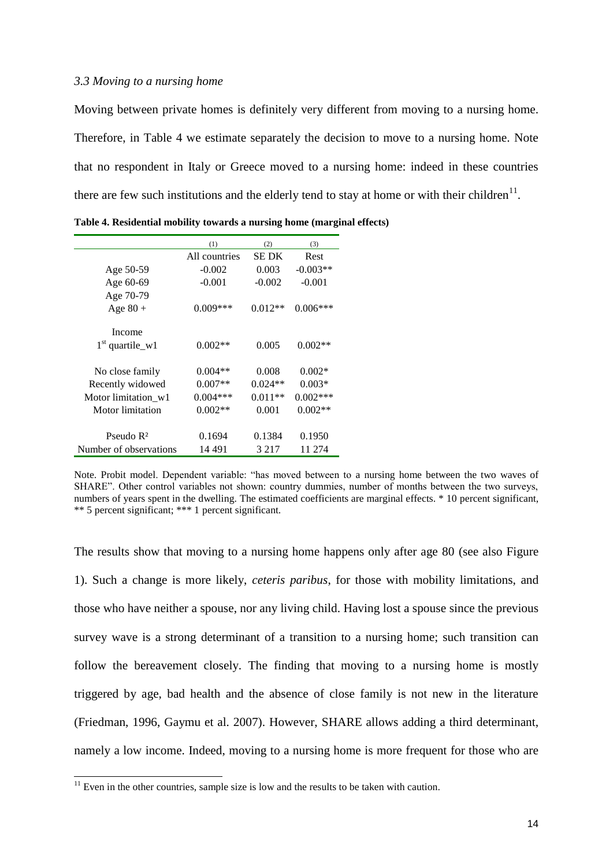#### *3.3 Moving to a nursing home*

Moving between private homes is definitely very different from moving to a nursing home. Therefore, in Table 4 we estimate separately the decision to move to a nursing home. Note that no respondent in Italy or Greece moved to a nursing home: indeed in these countries there are few such institutions and the elderly tend to stay at home or with their children<sup>11</sup>.

|                        | (1)           | (2)          | (3)        |
|------------------------|---------------|--------------|------------|
|                        | All countries | <b>SE DK</b> | Rest       |
| Age 50-59              | $-0.002$      | 0.003        | $-0.003**$ |
| Age 60-69              | $-0.001$      | $-0.002$     | $-0.001$   |
| Age 70-79              |               |              |            |
| Age $80 +$             | $0.009***$    | $0.012**$    | $0.006***$ |
|                        |               |              |            |
| Income                 |               |              |            |
| $1st$ quartile w1      | $0.002**$     | 0.005        | $0.002**$  |
|                        |               |              |            |
| No close family        | $0.004**$     | 0.008        | $0.002*$   |
| Recently widowed       | $0.007**$     | $0.024**$    | $0.003*$   |
| Motor limitation w1    | $0.004***$    | $0.011**$    | $0.002***$ |
| Motor limitation       | $0.002**$     | 0.001        | $0.002**$  |
|                        |               |              |            |
| Pseudo $R^2$           | 0.1694        | 0.1384       | 0.1950     |
| Number of observations | 14 491        | 3 2 1 7      | 11 274     |

**Table 4. Residential mobility towards a nursing home (marginal effects)**

The results show that moving to a nursing home happens only after age 80 (see also Figure 1). Such a change is more likely, *ceteris paribus*, for those with mobility limitations, and those who have neither a spouse, nor any living child. Having lost a spouse since the previous survey wave is a strong determinant of a transition to a nursing home; such transition can follow the bereavement closely. The finding that moving to a nursing home is mostly triggered by age, bad health and the absence of close family is not new in the literature (Friedman, 1996, Gaymu et al. 2007). However, SHARE allows adding a third determinant, namely a low income. Indeed, moving to a nursing home is more frequent for those who are

1

Note. Probit model. Dependent variable: "has moved between to a nursing home between the two waves of SHARE". Other control variables not shown: country dummies, number of months between the two surveys, numbers of years spent in the dwelling. The estimated coefficients are marginal effects. \* 10 percent significant, \*\* 5 percent significant; \*\*\* 1 percent significant.

 $11$  Even in the other countries, sample size is low and the results to be taken with caution.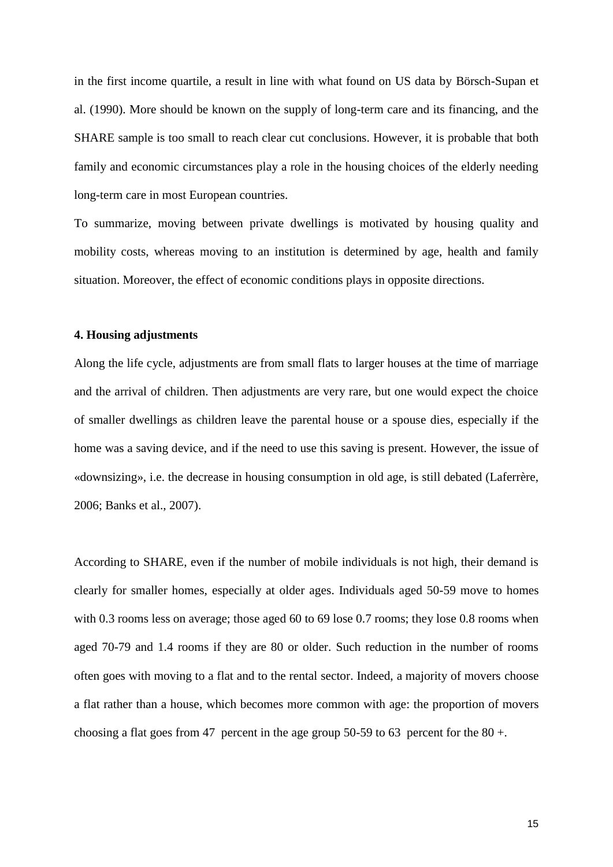in the first income quartile, a result in line with what found on US data by Börsch-Supan et al. (1990). More should be known on the supply of long-term care and its financing, and the SHARE sample is too small to reach clear cut conclusions. However, it is probable that both family and economic circumstances play a role in the housing choices of the elderly needing long-term care in most European countries.

To summarize, moving between private dwellings is motivated by housing quality and mobility costs, whereas moving to an institution is determined by age, health and family situation. Moreover, the effect of economic conditions plays in opposite directions.

### **4. Housing adjustments**

Along the life cycle, adjustments are from small flats to larger houses at the time of marriage and the arrival of children. Then adjustments are very rare, but one would expect the choice of smaller dwellings as children leave the parental house or a spouse dies, especially if the home was a saving device, and if the need to use this saving is present. However, the issue of «downsizing», i.e. the decrease in housing consumption in old age, is still debated (Laferrère, 2006; Banks et al., 2007).

According to SHARE, even if the number of mobile individuals is not high, their demand is clearly for smaller homes, especially at older ages. Individuals aged 50-59 move to homes with 0.3 rooms less on average; those aged 60 to 69 lose 0.7 rooms; they lose 0.8 rooms when aged 70-79 and 1.4 rooms if they are 80 or older. Such reduction in the number of rooms often goes with moving to a flat and to the rental sector. Indeed, a majority of movers choose a flat rather than a house, which becomes more common with age: the proportion of movers choosing a flat goes from 47 percent in the age group 50-59 to 63 percent for the 80  $+$ .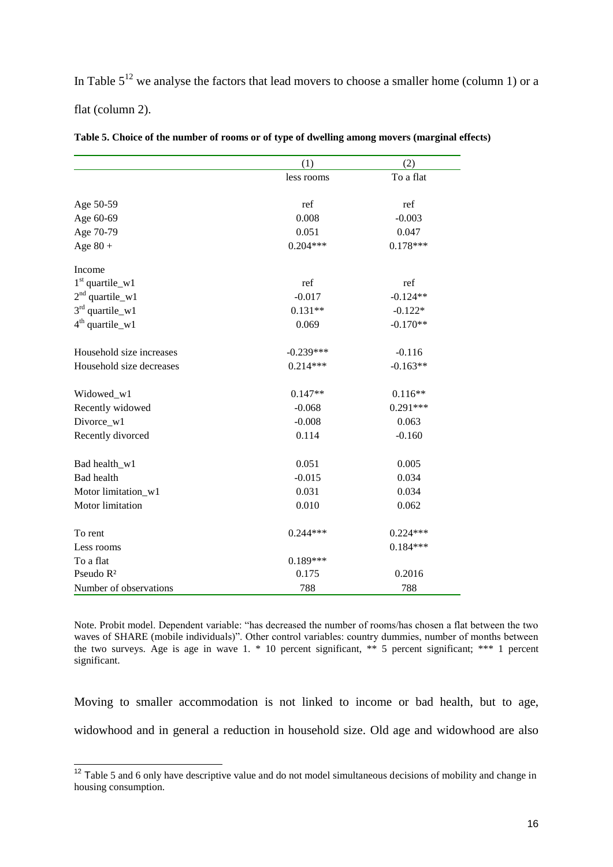In Table  $5^{12}$  we analyse the factors that lead movers to choose a smaller home (column 1) or a flat (column 2).

|                          | (1)         | (2)        |
|--------------------------|-------------|------------|
|                          | less rooms  | To a flat  |
| Age 50-59                | ref         | ref        |
| Age 60-69                | 0.008       | $-0.003$   |
| Age 70-79                | 0.051       | 0.047      |
| Age $80 +$               | $0.204***$  | $0.178***$ |
| Income                   |             |            |
| $1st$ quartile_w1        | ref         | ref        |
| $2nd$ quartile_w1        | $-0.017$    | $-0.124**$ |
| $3rd$ quartile_w1        | $0.131**$   | $-0.122*$  |
| $4th$ quartile_w1        | 0.069       | $-0.170**$ |
| Household size increases | $-0.239***$ | $-0.116$   |
| Household size decreases | $0.214***$  | $-0.163**$ |
| Widowed_w1               | $0.147**$   | $0.116**$  |
| Recently widowed         | $-0.068$    | $0.291***$ |
| Divorce_w1               | $-0.008$    | 0.063      |
| Recently divorced        | 0.114       | $-0.160$   |
| Bad health_w1            | 0.051       | 0.005      |
| Bad health               | $-0.015$    | 0.034      |
| Motor limitation_w1      | 0.031       | 0.034      |
| Motor limitation         | 0.010       | 0.062      |
| To rent                  | $0.244***$  | $0.224***$ |
| Less rooms               |             | $0.184***$ |
| To a flat                | $0.189***$  |            |
| Pseudo R <sup>2</sup>    | 0.175       | 0.2016     |
| Number of observations   | 788         | 788        |

|  | Table 5. Choice of the number of rooms or of type of dwelling among movers (marginal effects) |  |  |  |
|--|-----------------------------------------------------------------------------------------------|--|--|--|
|  |                                                                                               |  |  |  |

Note. Probit model. Dependent variable: "has decreased the number of rooms/has chosen a flat between the two waves of SHARE (mobile individuals)". Other control variables: country dummies, number of months between the two surveys. Age is age in wave 1. \* 10 percent significant, \*\* 5 percent significant; \*\*\* 1 percent significant.

Moving to smaller accommodation is not linked to income or bad health, but to age, widowhood and in general a reduction in household size. Old age and widowhood are also

-

 $12$  Table 5 and 6 only have descriptive value and do not model simultaneous decisions of mobility and change in housing consumption.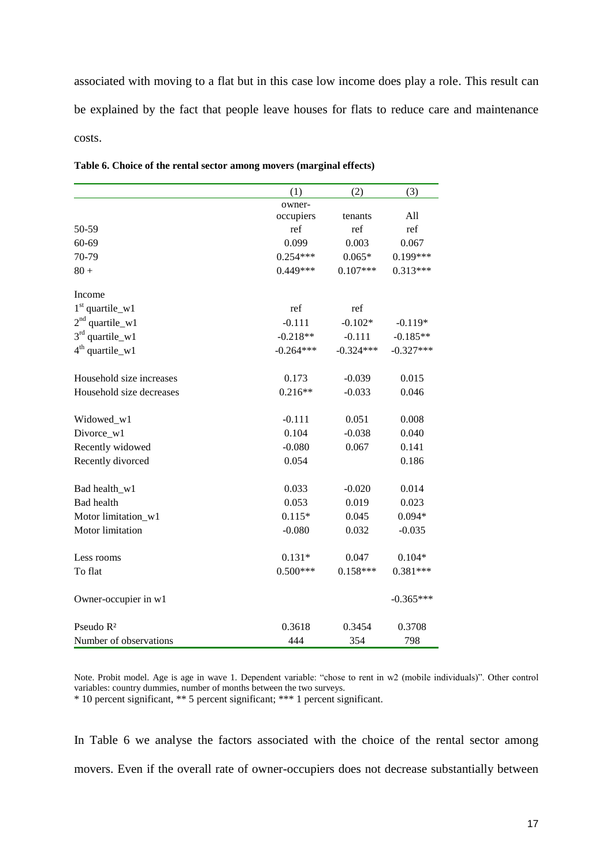associated with moving to a flat but in this case low income does play a role. This result can be explained by the fact that people leave houses for flats to reduce care and maintenance costs.

|                          | (1)                 | (2)         | (3)         |
|--------------------------|---------------------|-------------|-------------|
|                          | owner-<br>occupiers | tenants     | All         |
| 50-59                    | ref                 | ref         | ref         |
| 60-69                    | 0.099               | 0.003       | 0.067       |
| 70-79                    | $0.254***$          | $0.065*$    | $0.199***$  |
| $80 +$                   | $0.449***$          | $0.107***$  | $0.313***$  |
| Income                   |                     |             |             |
| $1st$ quartile_w1        | ref                 | ref         |             |
| $2nd$ quartile_w1        | $-0.111$            | $-0.102*$   | $-0.119*$   |
| $3rd$ quartile_w1        | $-0.218**$          | $-0.111$    | $-0.185**$  |
| $4th$ quartile_w1        | $-0.264***$         | $-0.324***$ | $-0.327***$ |
| Household size increases | 0.173               | $-0.039$    | 0.015       |
| Household size decreases | $0.216**$           | $-0.033$    | 0.046       |
| Widowed_w1               | $-0.111$            | 0.051       | 0.008       |
| Divorce_w1               | 0.104               | $-0.038$    | 0.040       |
| Recently widowed         | $-0.080$            | 0.067       | 0.141       |
| Recently divorced        | 0.054               |             | 0.186       |
| Bad health_w1            | 0.033               | $-0.020$    | 0.014       |
| <b>Bad</b> health        | 0.053               | 0.019       | 0.023       |
| Motor limitation_w1      | $0.115*$            | 0.045       | $0.094*$    |
| Motor limitation         | $-0.080$            | 0.032       | $-0.035$    |
| Less rooms               | $0.131*$            | 0.047       | $0.104*$    |
| To flat                  | $0.500***$          | $0.158***$  | $0.381***$  |
| Owner-occupier in w1     |                     |             | $-0.365***$ |
| Pseudo R <sup>2</sup>    | 0.3618              | 0.3454      | 0.3708      |
| Number of observations   | 444                 | 354         | 798         |

**Table 6. Choice of the rental sector among movers (marginal effects)**

Note. Probit model. Age is age in wave 1. Dependent variable: "chose to rent in w2 (mobile individuals)". Other control variables: country dummies, number of months between the two surveys.

\* 10 percent significant, \*\* 5 percent significant; \*\*\* 1 percent significant.

In Table 6 we analyse the factors associated with the choice of the rental sector among movers. Even if the overall rate of owner-occupiers does not decrease substantially between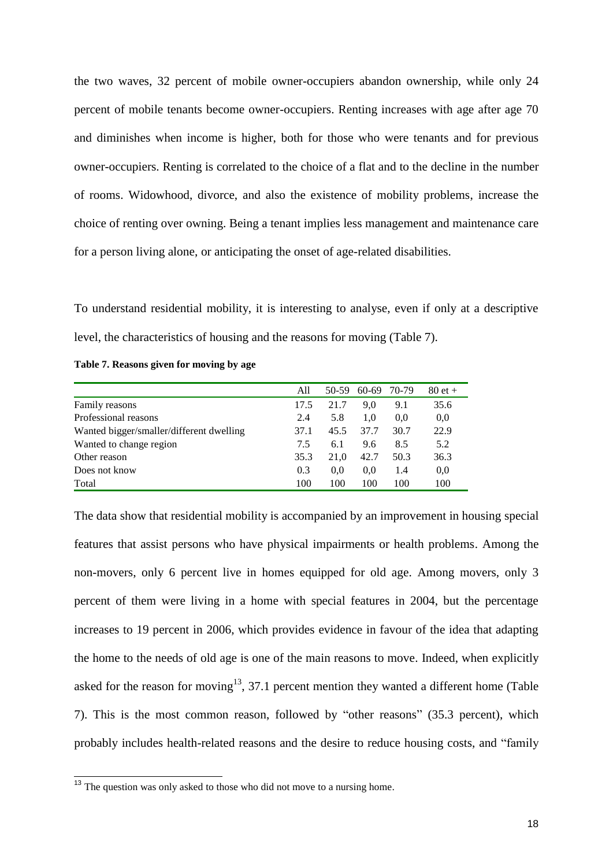the two waves, 32 percent of mobile owner-occupiers abandon ownership, while only 24 percent of mobile tenants become owner-occupiers. Renting increases with age after age 70 and diminishes when income is higher, both for those who were tenants and for previous owner-occupiers. Renting is correlated to the choice of a flat and to the decline in the number of rooms. Widowhood, divorce, and also the existence of mobility problems, increase the choice of renting over owning. Being a tenant implies less management and maintenance care for a person living alone, or anticipating the onset of age-related disabilities.

To understand residential mobility, it is interesting to analyse, even if only at a descriptive level, the characteristics of housing and the reasons for moving (Table 7).

| Table 7. Reasons given for moving by age |  |  |  |
|------------------------------------------|--|--|--|
|------------------------------------------|--|--|--|

|                                          | All  | 50-59 | 60-69 | 70-79 | $80$ et + |
|------------------------------------------|------|-------|-------|-------|-----------|
| Family reasons                           | 17.5 | 21.7  | 9.0   | 9.1   | 35.6      |
| Professional reasons                     | 2.4  | 5.8   | 1.0   | 0.0   | 0.0       |
| Wanted bigger/smaller/different dwelling | 37.1 | 45.5  | 37.7  | 30.7  | 22.9      |
| Wanted to change region                  | 7.5  | 6.1   | 9.6   | 8.5   | 5.2       |
| Other reason                             | 35.3 | 21.0  | 42.7  | 50.3  | 36.3      |
| Does not know                            | 0.3  | 0.0   | 0.0   | 1.4   | 0.0       |
| Total                                    | 100  | 100   | 100   | 100   | 100       |

The data show that residential mobility is accompanied by an improvement in housing special features that assist persons who have physical impairments or health problems. Among the non-movers, only 6 percent live in homes equipped for old age. Among movers, only 3 percent of them were living in a home with special features in 2004, but the percentage increases to 19 percent in 2006, which provides evidence in favour of the idea that adapting the home to the needs of old age is one of the main reasons to move. Indeed, when explicitly asked for the reason for moving<sup>13</sup>, 37.1 percent mention they wanted a different home (Table 7). This is the most common reason, followed by "other reasons" (35.3 percent), which probably includes health-related reasons and the desire to reduce housing costs, and "family

 $\overline{\phantom{a}}$ 

 $13$  The question was only asked to those who did not move to a nursing home.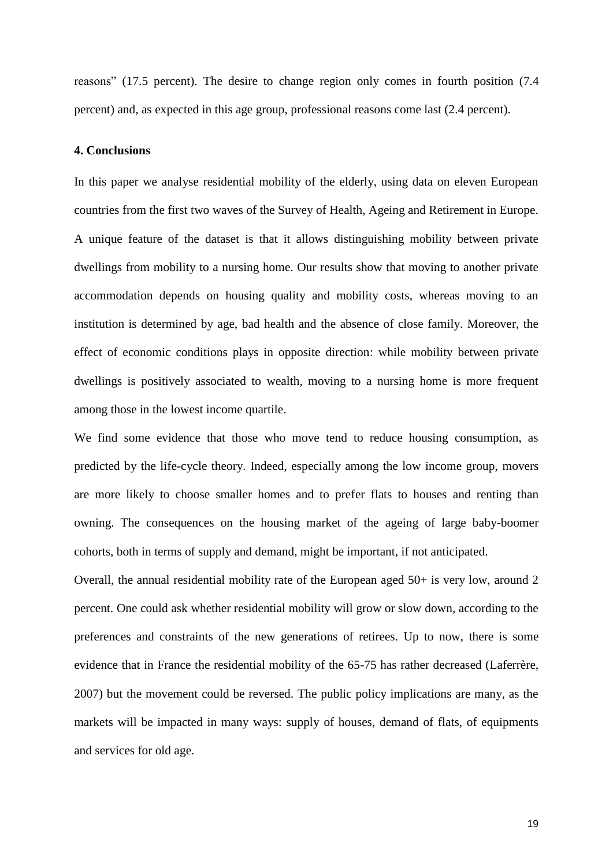reasons" (17.5 percent). The desire to change region only comes in fourth position (7.4 percent) and, as expected in this age group, professional reasons come last (2.4 percent).

## **4. Conclusions**

In this paper we analyse residential mobility of the elderly, using data on eleven European countries from the first two waves of the Survey of Health, Ageing and Retirement in Europe. A unique feature of the dataset is that it allows distinguishing mobility between private dwellings from mobility to a nursing home. Our results show that moving to another private accommodation depends on housing quality and mobility costs, whereas moving to an institution is determined by age, bad health and the absence of close family. Moreover, the effect of economic conditions plays in opposite direction: while mobility between private dwellings is positively associated to wealth, moving to a nursing home is more frequent among those in the lowest income quartile.

We find some evidence that those who move tend to reduce housing consumption, as predicted by the life-cycle theory. Indeed, especially among the low income group, movers are more likely to choose smaller homes and to prefer flats to houses and renting than owning. The consequences on the housing market of the ageing of large baby-boomer cohorts, both in terms of supply and demand, might be important, if not anticipated.

Overall, the annual residential mobility rate of the European aged 50+ is very low, around 2 percent. One could ask whether residential mobility will grow or slow down, according to the preferences and constraints of the new generations of retirees. Up to now, there is some evidence that in France the residential mobility of the 65-75 has rather decreased (Laferrère, 2007) but the movement could be reversed. The public policy implications are many, as the markets will be impacted in many ways: supply of houses, demand of flats, of equipments and services for old age.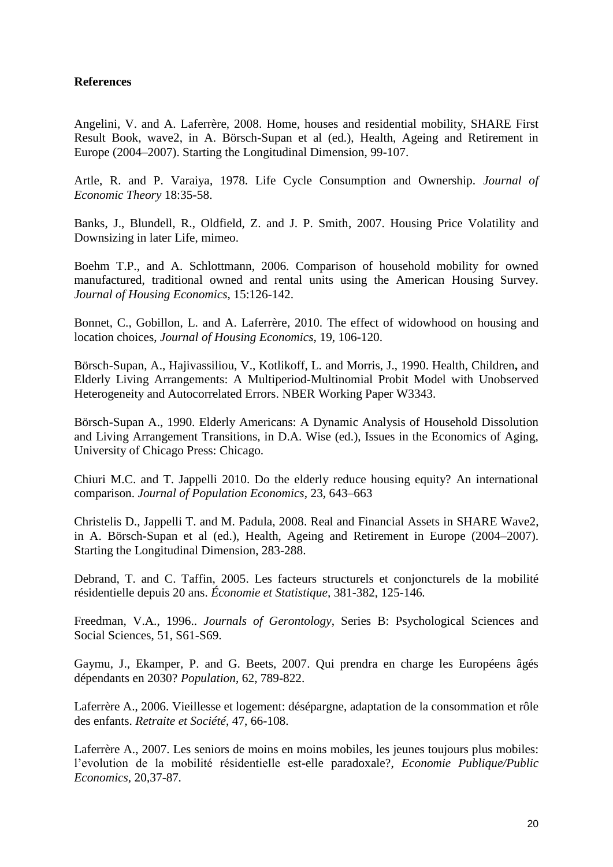# **References**

Angelini, V. and A. Laferrère, 2008. Home, houses and residential mobility, SHARE First Result Book, wave2, in A. Börsch-Supan et al (ed.), Health, Ageing and Retirement in Europe (2004–2007). Starting the Longitudinal Dimension, 99-107.

Artle, R. and P. Varaiya, 1978. Life Cycle Consumption and Ownership. *Journal of Economic Theory* 18:35-58.

Banks, J., Blundell, R., Oldfield, Z. and J. P. Smith, 2007. Housing Price Volatility and Downsizing in later Life, mimeo.

Boehm T.P., and A. Schlottmann, 2006. Comparison of household mobility for owned manufactured, traditional owned and rental units using the American Housing Survey. *Journal of Housing Economics*, 15:126-142.

Bonnet, C., Gobillon, L. and A. Laferrère, 2010. The effect of widowhood on housing and location choices, *Journal of Housing Economics*, 19, 106-120.

Börsch-Supan, A., Hajivassiliou, V., Kotlikoff, L. and Morris, J., 1990. Health, Children**,** and Elderly Living Arrangements: A Multiperiod-Multinomial Probit Model with Unobserved Heterogeneity and Autocorrelated Errors. NBER Working Paper W3343.

Börsch-Supan A., 1990. Elderly Americans: A Dynamic Analysis of Household Dissolution and Living Arrangement Transitions, in D.A. Wise (ed.), Issues in the Economics of Aging, University of Chicago Press: Chicago.

Chiuri M.C. and T. Jappelli 2010. Do the elderly reduce housing equity? An international comparison. *Journal of Population Economics*, 23, 643–663

Christelis D., Jappelli T. and M. Padula, 2008. Real and Financial Assets in SHARE Wave2, in A. Börsch-Supan et al (ed.), Health, Ageing and Retirement in Europe (2004–2007). Starting the Longitudinal Dimension, 283-288.

Debrand, T. and C. Taffin, 2005. Les facteurs structurels et conjoncturels de la mobilité résidentielle depuis 20 ans. *Économie et Statistique,* 381-382, 125-146*.*

Freedman, V.A., 1996.. *Journals of Gerontology*, Series B: Psychological Sciences and Social Sciences, 51, S61-S69.

Gaymu, J., Ekamper, P. and G. Beets, 2007. Qui prendra en charge les Européens âgés dépendants en 2030? *Population*, 62, 789-822.

Laferrère A., 2006. Vieillesse et logement: désépargne, adaptation de la consommation et rôle des enfants. *Retraite et Société*, 47, 66-108.

Laferrère A., 2007. [Les seniors de moins en moins mobiles, les jeunes toujours plus mobiles:](http://www.crest.fr/ckfinder/userfiles/files/Pageperso/laferrere/laferrere_fichiers/Mobilite%20d01-laferrere.pdf)  [l"evolution de la mobilité résidentielle est-elle paradoxale?,](http://www.crest.fr/ckfinder/userfiles/files/Pageperso/laferrere/laferrere_fichiers/Mobilite%20d01-laferrere.pdf) *Economie Publique/Public Economics,* 20,37-87*.*